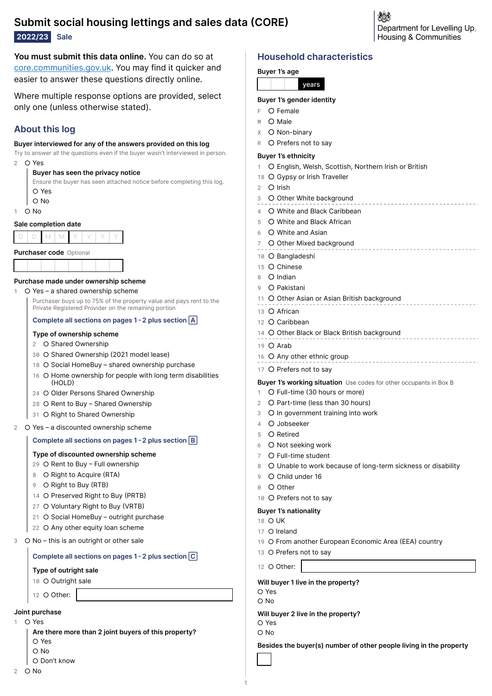# **Submit social housing lettings and sales data CORE**

**2022/23 Sale**

**You must submit this data online.** You can do so at [core.communities.gov.uk](https://core.communities.gov.uk/). You may find it quicker and easier to answer these questions directly online.

Where multiple response options are provided, select only one (unless otherwise stated).

# **About this log**

### **Buyer interviewed for any of the answers provided on this log**

Try to answer all the questions even if the buyer wasn't interviewed in person.

2  $\cap$  Yes

### **Buyer has seen the privacy notice**

Ensure the buyer has seen attached notice before completing this log. ⭘ Yes ⭘ No

 $1 \cap N_0$ 

### **Sale completion date**

|  | Durchoose code $Q_{\text{min}}$ |  |  |  |
|--|---------------------------------|--|--|--|

| <b>Purchaser code</b> O |  |  |  |  |
|-------------------------|--|--|--|--|
|                         |  |  |  |  |
|                         |  |  |  |  |
|                         |  |  |  |  |
|                         |  |  |  |  |
|                         |  |  |  |  |
|                         |  |  |  |  |

### **Purchase made under ownership scheme**

### 1 O Yes – a shared ownership scheme

Purchaser buys up to 75% of the property value and pays rent to the Private Registered Provider on the remaining portion

### **Complete all sections on pages 1 2 plus section**

### **Type of ownership scheme**

### 2 O Shared Ownership

- 30 O Shared Ownership (2021 model lease)
- 18 O Social HomeBuy shared ownership purchase
- 16 O Home ownership for people with long term disabilities  $(HOL)$
- 24 O Older Persons Shared Ownership
- 28 O Rent to Buy Shared Ownership
- 31 O Right to Shared Ownership
- 2 O Yes a discounted ownership scheme

### **Complete all sections on pages 1 2 plus section**

### **Type of discounted ownership scheme**

- 29 O Rent to Buy Full ownership
- 8 O Right to Acquire (RTA)
- 9 O Right to Buy (RTB)
- 14 O Preserved Right to Buy (PRTB)
- 27 O Voluntary Right to Buy (VRTB)
- 21 O Social HomeBuy outright purchase
- 22 O Any other equity loan scheme
- 3 O No this is an outright or other sale

### **Complete all sections on pages 1 2 plus section**

### **Type of outright sale**

10 O Outright sale

12 O Other:

### **Joint purchase**

- $\Omega$  Yes
	- **Are there more than 2 joint buyers of this property?** ⭘ Yes
	- ⭘ No
	- ⭘ Don't know

# **Household characteristics**

# **Buyer 1's age**

### **Buyer 1's gender identity**

- $F$   $O$  Female
- $M$   $\bigcirc$  Male
- X O Non-binary
- R O Prefers not to say

### **Buyer 1's ethnicity**

O English, Welsh, Scottish, Northern Irish or British

Department for Levelling Up. Housing & Communities

- 18 O Gypsy or Irish Traveller
- 2 O Irish
- 3 O Other White background
- 4 O White and Black Caribbean
- 5 O White and Black African
- 6 O White and Asian
- 7 O Other Mixed background
- 10 O Bangladeshi
- 
- 15 O Chinese
- 8 O Indian
- 9 O Pakistani
- 11 O Other Asian or Asian British background
- 13 O African
- 12 O Caribbean
- 14 O Other Black or Black British background
- 19 O Arab
- 16 O Any other ethnic group
- 17 O Prefers not to say

### **Buyer 1's working situation** Use codes for other occupants in Box B

- O Full-time (30 hours or more)
- 2 O Part-time (less than 30 hours)
- 3 O In government training into work
- 4 O Jobseeker
- 5 O Retired
- 6 O Not seeking work
- 7 O Full-time student
- 8 O Unable to work because of long-term sickness or disability
- 9 O Child under 16
- 0 O Other
- 10 O Prefers not to say

### **Buyer 1's nationality**

- 18 O UK
- 17 O Ireland
- 19 O From another European Economic Area (EEA) country

**Besides the buyer(s) number of other people living in the property**

13 O Prefers not to say

12 O Other:

**Will buyer 1 live in the property?**

- ⭘ Yes
- ⭘ No

**Will buyer 2 live in the property?**

- ⭘ Yes
- ⭘ No

1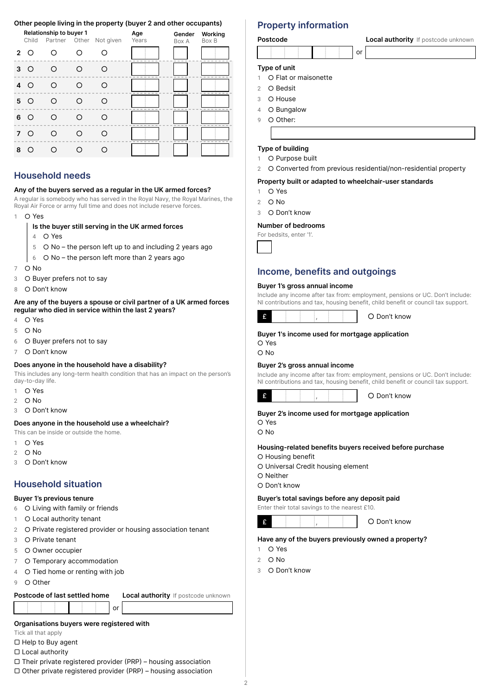### **Other people living in the property (buyer 2 and other occupants)**

|                |       | Relationship to buyer 1 |   |                         | Age   | Gender | Working                    |
|----------------|-------|-------------------------|---|-------------------------|-------|--------|----------------------------|
|                | Child |                         |   | Partner Other Not given | Years | Box A  | Box B                      |
| $\overline{2}$ | ∩     |                         |   |                         |       |        |                            |
| 3              | ∩     | ( )                     | ∩ |                         |       |        |                            |
| 4              | ∩     | ∩                       | ∩ |                         |       |        | <b>COL</b><br><b>Color</b> |
| 5              | ∩     | ∩                       | ∩ | ∩                       |       |        | m<br><b>COL</b>            |
| 6              | ∩     | ◠                       | ∩ |                         |       |        |                            |
| 7              | ∩     | ( )                     | ∩ | $\left($ )              |       |        |                            |
| 8              |       |                         |   |                         |       |        |                            |

## **Household needs**

### **Any of the buyers served as a regular in the UK armed forces?**

A regular is somebody who has served in the Royal Navy, the Royal Marines, the Royal Air Force or army full time and does not include reserve forces.

- 1 O Yes
	- **Is the buyer still serving in the UK armed forces**
		- 4  $\bigcirc$  Yes
		- $5$   $\circ$  No the person left up to and including 2 years ago
	- $6$  O No the person left more than 2 years ago
- 7 ⭘ No
- 3 O Buyer prefers not to say
- 8 O Don't know

### **Are any of the buyers a spouse or civil partner of a UK armed forces regular who died in service within the last 2 years?**

- 4  $\bigcirc$  Yes
- 5 O No
- 6 O Buyer prefers not to say
- 7 O Don't know

### **Does anyone in the household have a disability?**

This includes any long-term health condition that has an impact on the person's day-to-day life.

- 1 O Yes
- $2$  O No
- 3  $\bigcirc$  Don't know

### **Does anyone in the household use a wheelchair?**

This can be inside or outside the home.

- 1 O Yes
- 2  $\circ$  No
- 3 O Don't know

## **Household situation**

### **Buyer 1's previous tenure**

- 6 O Living with family or friends
- O Local authority tenant
- 2 O Private registered provider or housing association tenant
- 3 O Private tenant
- 5 O Owner occupier
- 7 O Temporary accommodation
- 4 O Tied home or renting with job
- 9 O Other

### **Postcode of last settled home Local authority** If postcode unknown

or

### **Organisations buyers were registered with**

Tick all that apply

- ▢ Help to Buy agent
- ▢ Local authority

### $\Box$  Their private registered provider (PRP) – housing association

 $\Box$  Other private registered provider (PRP) – housing association

### **Property information**

### **Type of unit**

- 1 O Flat or maisonette
- 2 O Bedsit
- 3 O House
- 4 O Bungalow
- 9 O Other:
- 

### **Type of building**

- 1 O Purpose built
- 2 O Converted from previous residential/non-residential property

or

### **Property built or adapted to wheelchair-user standards**

- 1 O Yes
- $2$  O No
- 3 O Don't know

### **Number of bedrooms**

For bedsits, enter '1'.



### **Income, benefits and outgoings**

### **Buyer 1's gross annual income**

Include any income after tax from: employment, pensions or UC. Don't include: NI contributions and tax, housing benefit, child benefit or council tax support.



### **Buyer 1's income used for mortgage application**

⭘ Yes

⭘ No

### **Buyer 2's gross annual income**

Include any income after tax from: employment, pensions or UC. Don't include: NI contributions and tax, housing benefit, child benefit or council tax support.



### **Buyer 2's income used for mortgage application**

⭘ Yes ⭘ No

# **Housing-related benefits buyers received before purchase**

⭘ Housing benefit

- ⭘ Universal Credit housing element
- ⭘ Neither

⭘ Don't know

### **Buyer's total savings before any deposit paid**

Enter their total savings to the nearest £10.

 $\mathbf{f}$  , and  $\mathbf{f}$  , and  $\mathbf{f}$  ,  $\mathbf{f}$  ,  $\mathbf{f}$  ,  $\mathbf{f}$  ,  $\mathbf{f}$  ,  $\mathbf{f}$  ,  $\mathbf{f}$  ,  $\mathbf{f}$  ,  $\mathbf{f}$  ,  $\mathbf{f}$  ,  $\mathbf{f}$  ,  $\mathbf{f}$  ,  $\mathbf{f}$  ,  $\mathbf{f}$  ,  $\mathbf{f}$  ,  $\mathbf{f}$  ,  $\mathbf{f}$  ,  $\mathbf$ 

### **Have any of the buyers previously owned a property?**

- 1 O Yes
- $2$  O No
- 3 O Don't know

**Postcode Local authority** If postcode unknown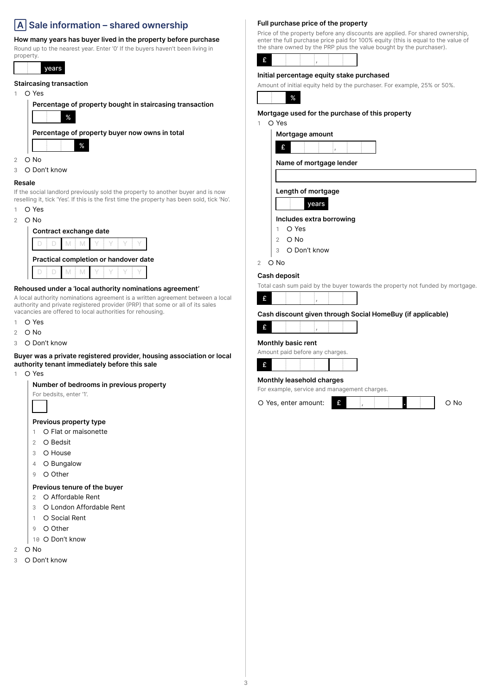# **Sale information – shared ownership**

### **How many years has buyer lived in the property before purchase**

Round up to the nearest year. Enter '0' If the buyers haven't been living in property.

years

### **Staircasing transaction**

 $1$   $\bigcirc$  Yes

**Percentage of property bought in staircasing transaction** % **Percentage of property buyer now owns in total**

- 2 O No
- 3 O Don't know

### **Resale**

If the social landlord previously sold the property to another buyer and is now reselling it, tick 'Yes'. If this is the first time the property has been sold, tick 'No'.

- $1 \cap Y$ es
- $2$  O No

| Contract exchange date                |  |  |  |  |
|---------------------------------------|--|--|--|--|
|                                       |  |  |  |  |
| Practical completion or handover date |  |  |  |  |
|                                       |  |  |  |  |

### **Rehoused under a 'local authority nominations agreement'**

A local authority nominations agreement is a written agreement between a local authority and private registered provider (PRP) that some or all of its sales vacancies are offered to local authorities for rehousing.

- 1 O Yes
- $2$  O No
- 3 O Don't know

### **Buyer was a private registered provider, housing association or local authority tenant immediately before this sale**

1 O Yes

### **Number of bedrooms in previous property**

For bedsits, enter '1'.

### **Previous property type**

- 1 O Flat or maisonette
- 2  $\circ$  Bedsit
- 3 O House
- 4 O Bungalow
- 9 O Other

### **Previous tenure of the buyer**

- 2 O Affordable Rent
- 3 O London Affordable Rent
- 1 O Social Rent
- 9 O Other
- 10 O Don't know
- $2$  O No
- 3 O Don't know

### **Full purchase price of the property**

Price of the property before any discounts are applied. For shared ownership, enter the full purchase price paid for 100% equity (this is equal to the value of the share owned by the PRP plus the value bought by the purchaser).

### **Initial percentage equity stake purchased**

Amount of initial equity held by the purchaser. For example, 25% or 50%.



### **Mortgage used for the purchase of this property**

1 O Yes

| Mortgage amount |  |  |
|-----------------|--|--|
|                 |  |  |

**Name of mortgage lender**

**Length of mortgage**



### **Includes extra borrowing**

- 1 O Yes
- $2$  O No
- 3 O Don't know

### $2$   $\circ$  No

**Cash deposit**

Total cash sum paid by the buyer towards the property not funded by mortgage.

### **Cash discount given through Social HomeBuy (if applicable)**



### **Monthly basic rent**

Amount paid before any charges.

|--|

### **Monthly leasehold charges**

For example, service and management charges.

O Yes, enter amount: **E** , **... and ... If**  $\overline{a}$  **No** 

%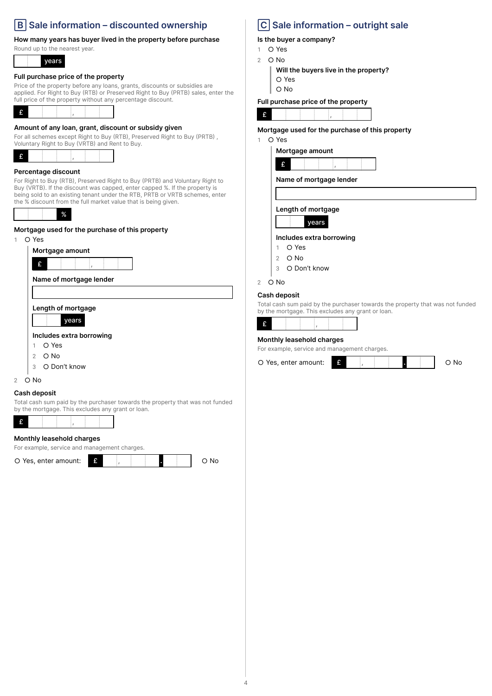# **Sale information – discounted ownership**

### **How many years has buyer lived in the property before purchase**

Round up to the nearest year.

years

### **Full purchase price of the property**

Price of the property before any loans, grants, discounts or subsidies are applied. For Right to Buy (RTB) or Preserved Right to Buy (PRTB) sales, enter the full price of the property without any percentage discount.



### **Amount of any loan, grant, discount or subsidy given**

For all schemes except Right to Buy (RTB), Preserved Right to Buy (PRTB), Voluntary Right to Buy (VRTB) and Rent to Buy.



### **Percentage discount**

For Right to Buy (RTB), Preserved Right to Buy (PRTB) and Voluntary Right to Buy (VRTB). If the discount was capped, enter capped %. If the property is being sold to an existing tenant under the RTB, PRTB or VRTB schemes, enter the % discount from the full market value that is being given.

%

**Mortgage used for the purchase of this property**

# $1 \cap Y$ es **Mortgage amount**  $\mathbf{f}$  , and the set of  $\mathbf{f}$ **Name of mortgage lender Length of mortgage** years **Includes extra borrowing** 1 O Yes  $2 \cap N_0$

- 3 O Don't know
- $2$  O No

### **Cash deposit**

Total cash sum paid by the purchaser towards the property that was not funded by the mortgage. This excludes any grant or loan.



### **Monthly leasehold charges**

For example, service and management charges.

O Yes, enter amount: **E** , **... and ... A** , **... O No** 

# **Sale information – outright sale**

### **Is the buyer a company?**

- 1 O Yes
- 2  $\circ$  No
	- **Will the buyers live in the property?**
	- ⭘ Yes ⭘ No

# **Full purchase price of the property**

 $\mathbf{f}$  , and the set of  $\mathbf{f}$  ,  $\mathbf{f}$ 

**Mortgage used for the purchase of this property**

### 1 O Yes





**Name of mortgage lender**

### **Length of mortgage**



### **Includes extra borrowing**

- 1 O Yes
- $2$  O No
- 3 O Don't know
- $2$   $\circ$  No

### **Cash deposit**

Total cash sum paid by the purchaser towards the property that was not funded by the mortgage. This excludes any grant or loan.

### **Monthly leasehold charges**

For example, service and management charges.

| O Yes, enter amount: |  |  |  |  |  |  | റ No |
|----------------------|--|--|--|--|--|--|------|
|----------------------|--|--|--|--|--|--|------|